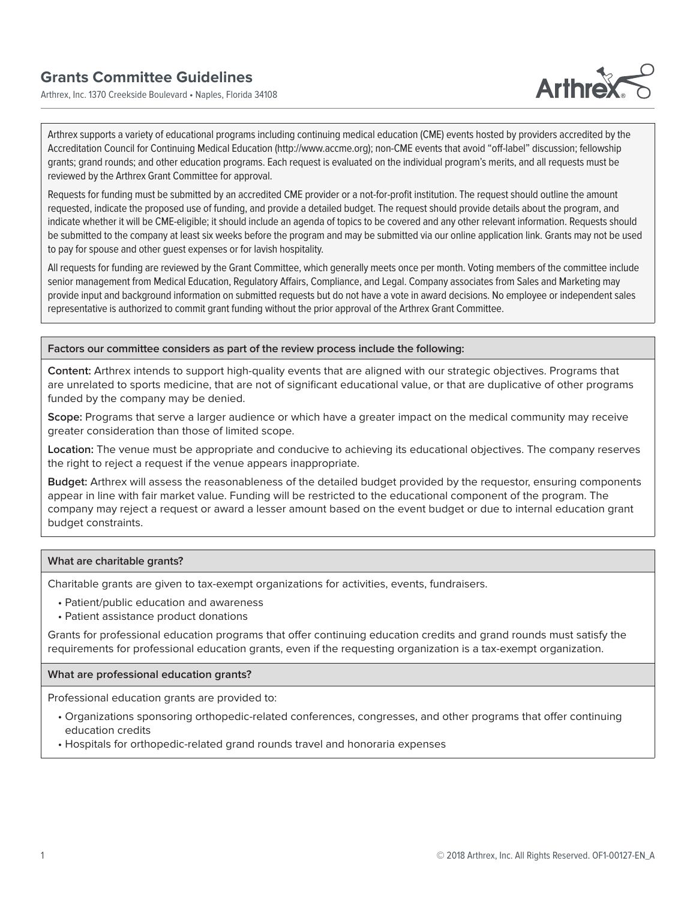# **Grants Committee Guidelines**

Arthrex, Inc. 1370 Creekside Boulevard • Naples, Florida 34108



Arthrex supports a variety of educational programs including continuing medical education (CME) events hosted by providers accredited by the Accreditation Council for Continuing Medical Education (http://www.accme.org); non-CME events that avoid "off-label" discussion; fellowship grants; grand rounds; and other education programs. Each request is evaluated on the individual program's merits, and all requests must be reviewed by the Arthrex Grant Committee for approval.

Requests for funding must be submitted by an accredited CME provider or a not-for-profit institution. The request should outline the amount requested, indicate the proposed use of funding, and provide a detailed budget. The request should provide details about the program, and indicate whether it will be CME-eligible; it should include an agenda of topics to be covered and any other relevant information. Requests should be submitted to the company at least six weeks before the program and may be submitted via our online application link. Grants may not be used to pay for spouse and other guest expenses or for lavish hospitality.

All requests for funding are reviewed by the Grant Committee, which generally meets once per month. Voting members of the committee include senior management from Medical Education, Regulatory Affairs, Compliance, and Legal. Company associates from Sales and Marketing may provide input and background information on submitted requests but do not have a vote in award decisions. No employee or independent sales representative is authorized to commit grant funding without the prior approval of the Arthrex Grant Committee.

## **Factors our committee considers as part of the review process include the following:**

**Content:** Arthrex intends to support high-quality events that are aligned with our strategic objectives. Programs that are unrelated to sports medicine, that are not of significant educational value, or that are duplicative of other programs funded by the company may be denied.

**Scope:** Programs that serve a larger audience or which have a greater impact on the medical community may receive greater consideration than those of limited scope.

**Location:** The venue must be appropriate and conducive to achieving its educational objectives. The company reserves the right to reject a request if the venue appears inappropriate.

**Budget:** Arthrex will assess the reasonableness of the detailed budget provided by the requestor, ensuring components appear in line with fair market value. Funding will be restricted to the educational component of the program. The company may reject a request or award a lesser amount based on the event budget or due to internal education grant budget constraints.

#### **What are charitable grants?**

Charitable grants are given to tax-exempt organizations for activities, events, fundraisers.

- Patient/public education and awareness
- Patient assistance product donations

Grants for professional education programs that offer continuing education credits and grand rounds must satisfy the requirements for professional education grants, even if the requesting organization is a tax-exempt organization.

#### **What are professional education grants?**

Professional education grants are provided to:

- Organizations sponsoring orthopedic-related conferences, congresses, and other programs that offer continuing education credits
- Hospitals for orthopedic-related grand rounds travel and honoraria expenses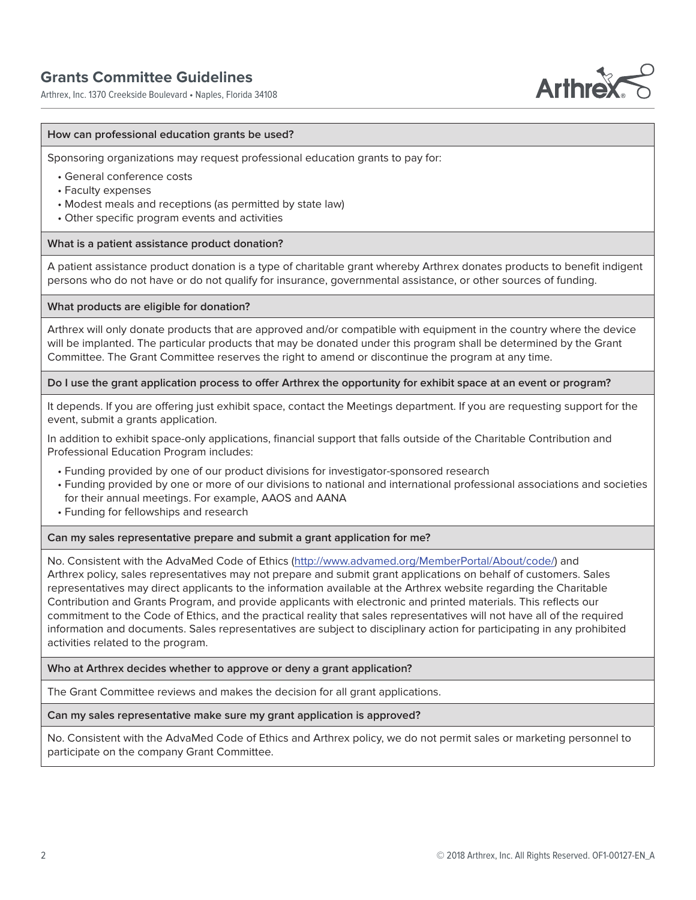# **Grants Committee Guidelines**

Arthrex, Inc. 1370 Creekside Boulevard • Naples, Florida 34108



### **How can professional education grants be used?**

Sponsoring organizations may request professional education grants to pay for:

- General conference costs
- Faculty expenses
- Modest meals and receptions (as permitted by state law)
- Other specific program events and activities

# **What is a patient assistance product donation?**

A patient assistance product donation is a type of charitable grant whereby Arthrex donates products to benefit indigent persons who do not have or do not qualify for insurance, governmental assistance, or other sources of funding.

#### **What products are eligible for donation?**

Arthrex will only donate products that are approved and/or compatible with equipment in the country where the device will be implanted. The particular products that may be donated under this program shall be determined by the Grant Committee. The Grant Committee reserves the right to amend or discontinue the program at any time.

#### **Do I use the grant application process to offer Arthrex the opportunity for exhibit space at an event or program?**

It depends. If you are offering just exhibit space, contact the Meetings department. If you are requesting support for the event, submit a grants application.

In addition to exhibit space-only applications, financial support that falls outside of the Charitable Contribution and Professional Education Program includes:

- Funding provided by one of our product divisions for investigator-sponsored research
- Funding provided by one or more of our divisions to national and international professional associations and societies for their annual meetings. For example, AAOS and AANA
- Funding for fellowships and research

## **Can my sales representative prepare and submit a grant application for me?**

No. Consistent with the AdvaMed Code of Ethics (http://www.advamed.org/MemberPortal/About/code/) and Arthrex policy, sales representatives may not prepare and submit grant applications on behalf of customers. Sales representatives may direct applicants to the information available at the Arthrex website regarding the Charitable Contribution and Grants Program, and provide applicants with electronic and printed materials. This reflects our commitment to the Code of Ethics, and the practical reality that sales representatives will not have all of the required information and documents. Sales representatives are subject to disciplinary action for participating in any prohibited activities related to the program.

**Who at Arthrex decides whether to approve or deny a grant application?**

The Grant Committee reviews and makes the decision for all grant applications.

**Can my sales representative make sure my grant application is approved?**

No. Consistent with the AdvaMed Code of Ethics and Arthrex policy, we do not permit sales or marketing personnel to participate on the company Grant Committee.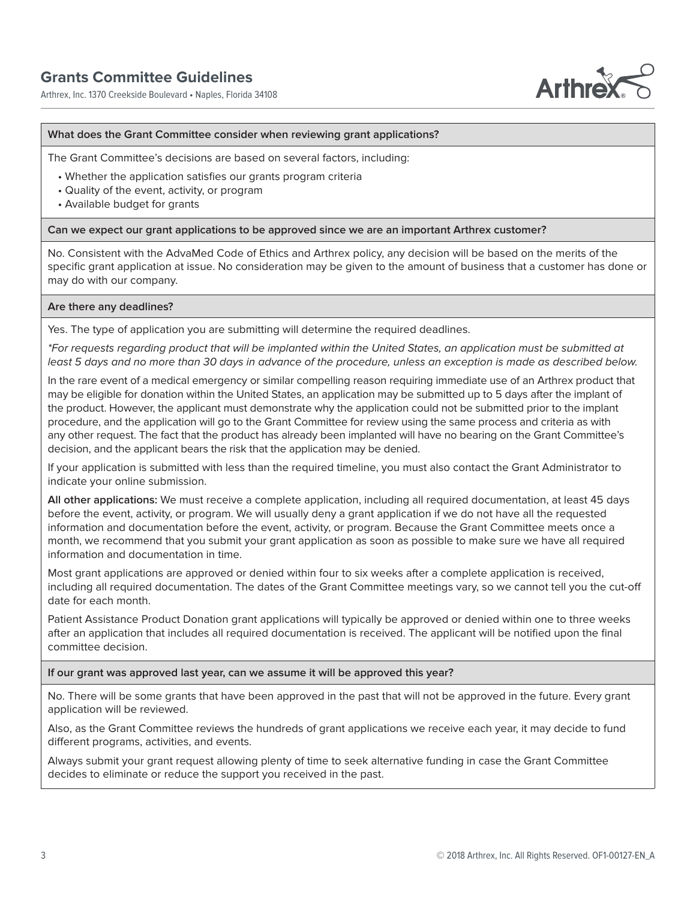Arthrex, Inc. 1370 Creekside Boulevard • Naples, Florida 34108



### **What does the Grant Committee consider when reviewing grant applications?**

The Grant Committee's decisions are based on several factors, including:

- Whether the application satisfies our grants program criteria
- Quality of the event, activity, or program
- Available budget for grants

#### **Can we expect our grant applications to be approved since we are an important Arthrex customer?**

No. Consistent with the AdvaMed Code of Ethics and Arthrex policy, any decision will be based on the merits of the specific grant application at issue. No consideration may be given to the amount of business that a customer has done or may do with our company.

#### **Are there any deadlines?**

Yes. The type of application you are submitting will determine the required deadlines.

\*For requests regarding product that will be implanted within the United States, an application must be submitted at least 5 days and no more than 30 days in advance of the procedure, unless an exception is made as described below.

In the rare event of a medical emergency or similar compelling reason requiring immediate use of an Arthrex product that may be eligible for donation within the United States, an application may be submitted up to 5 days after the implant of the product. However, the applicant must demonstrate why the application could not be submitted prior to the implant procedure, and the application will go to the Grant Committee for review using the same process and criteria as with any other request. The fact that the product has already been implanted will have no bearing on the Grant Committee's decision, and the applicant bears the risk that the application may be denied.

If your application is submitted with less than the required timeline, you must also contact the Grant Administrator to indicate your online submission.

**All other applications:** We must receive a complete application, including all required documentation, at least 45 days before the event, activity, or program. We will usually deny a grant application if we do not have all the requested information and documentation before the event, activity, or program. Because the Grant Committee meets once a month, we recommend that you submit your grant application as soon as possible to make sure we have all required information and documentation in time.

Most grant applications are approved or denied within four to six weeks after a complete application is received, including all required documentation. The dates of the Grant Committee meetings vary, so we cannot tell you the cut-off date for each month.

Patient Assistance Product Donation grant applications will typically be approved or denied within one to three weeks after an application that includes all required documentation is received. The applicant will be notified upon the final committee decision.

**If our grant was approved last year, can we assume it will be approved this year?**

No. There will be some grants that have been approved in the past that will not be approved in the future. Every grant application will be reviewed.

Also, as the Grant Committee reviews the hundreds of grant applications we receive each year, it may decide to fund different programs, activities, and events.

Always submit your grant request allowing plenty of time to seek alternative funding in case the Grant Committee decides to eliminate or reduce the support you received in the past.